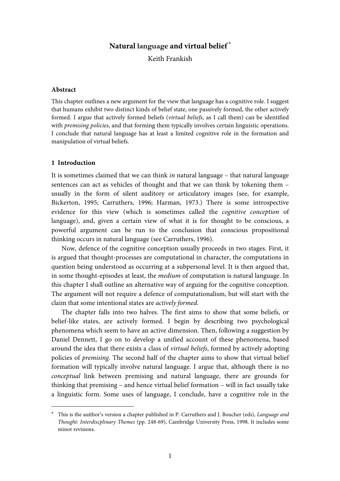# **Natural language and virtual belief** <sup>∗</sup>

Keith Frankish

#### **Abstract**

This chapter outlines a new argument for the view that language has a cognitive role. I suggest that humans exhibit two distinct kinds of belief state, one passively formed, the other actively formed. I argue that actively formed beliefs (virtual beliefs, as I call them) can be identified with *premising policies*, and that forming them typically involves certain linguistic operations. I conclude that natural language has at least a limited cognitive role in the formation and manipulation of virtual beliefs.

### **1 Introduction**

 $\overline{a}$ 

It is sometimes claimed that we can think  $in$  natural language – that natural language sentences can act as vehicles of thought and that we can think by tokening them – usually in the form of silent auditory or articulatory images (see, for example, Bickerton, 1995; Carruthers, 1996; Harman, 1973.) There is some introspective evidence for this view (which is sometimes called the cognitive conception of language), and, given a certain view of what it is for thought to be conscious, a powerful argument can be run to the conclusion that conscious propositional thinking occurs in natural language (see Carruthers, 1996).

 Now, defence of the cognitive conception usually proceeds in two stages. First, it is argued that thought-processes are computational in character, the computations in question being understood as occurring at a subpersonal level. It is then argued that, in some thought-episodes at least, the *medium* of computation is natural language. In this chapter I shall outline an alternative way of arguing for the cognitive conception. The argument will not require a defence of computationalism, but will start with the claim that some intentional states are actively formed.

 The chapter falls into two halves. The first aims to show that some beliefs, or belief-like states, are actively formed. I begin by describing two psychological phenomena which seem to have an active dimension. Then, following a suggestion by Daniel Dennett, I go on to develop a unified account of these phenomena, based around the idea that there exists a class of virtual beliefs, formed by actively adopting policies of premising. The second half of the chapter aims to show that virtual belief formation will typically involve natural language. I argue that, although there is no conceptual link between premising and natural language, there are grounds for thinking that premising – and hence virtual belief formation – will in fact usually take a linguistic form. Some uses of language, I conclude, have a cognitive role in the

<sup>∗</sup> This is the auithor's version a chapter published in P. Carruthers and J. Boucher (eds), Language and Thought: Interdiscplinary Themes (pp. 248-69), Cambridge University Press, 1998. It includes some minor revisions.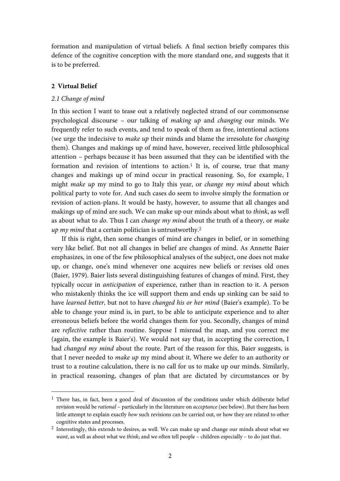formation and manipulation of virtual beliefs. A final section briefly compares this defence of the cognitive conception with the more standard one, and suggests that it is to be preferred.

# **2 Virtual Belief**

 $\overline{a}$ 

# 2.1 Change of mind

In this section I want to tease out a relatively neglected strand of our commonsense psychological discourse – our talking of making up and changing our minds. We frequently refer to such events, and tend to speak of them as free, intentional actions (we urge the indecisive to make up their minds and blame the irresolute for changing them). Changes and makings up of mind have, however, received little philosophical attention – perhaps because it has been assumed that they can be identified with the formation and revision of intentions to action.<sup>1</sup> It is, of course, true that many changes and makings up of mind occur in practical reasoning. So, for example, I might make up my mind to go to Italy this year, or change my mind about which political party to vote for. And such cases do seem to involve simply the formation or revision of action-plans. It would be hasty, however, to assume that all changes and makings up of mind are such. We can make up our minds about what to think, as well as about what to do. Thus I can change my mind about the truth of a theory, or make up my mind that a certain politician is untrustworthy.<sup>2</sup>

 If this is right, then some changes of mind are changes in belief, or in something very like belief. But not all changes in belief are changes of mind. As Annette Baier emphasizes, in one of the few philosophical analyses of the subject, one does not make up, or change, one's mind whenever one acquires new beliefs or revises old ones (Baier, 1979). Baier lists several distinguishing features of changes of mind. First, they typically occur in anticipation of experience, rather than in reaction to it. A person who mistakenly thinks the ice will support them and ends up sinking can be said to have learned better, but not to have changed his or her mind (Baier's example). To be able to change your mind is, in part, to be able to anticipate experience and to alter erroneous beliefs before the world changes them for you. Secondly, changes of mind are reflective rather than routine. Suppose I misread the map, and you correct me (again, the example is Baier's). We would not say that, in accepting the correction, I had changed my mind about the route. Part of the reason for this, Baier suggests, is that I never needed to make up my mind about it. Where we defer to an authority or trust to a routine calculation, there is no call for us to make up our minds. Similarly, in practical reasoning, changes of plan that are dictated by circumstances or by

<sup>&</sup>lt;sup>1</sup> There has, in fact, been a good deal of discussion of the conditions under which deliberate belief revision would be rational – particularly in the literature on acceptance (see below). But there has been little attempt to explain exactly how such revisions can be carried out, or how they are related to other cognitive states and processes.

<sup>&</sup>lt;sup>2</sup> Interestingly, this extends to desires, as well. We can make up and change our minds about what we want, as well as about what we think; and we often tell people – children especially – to do just that.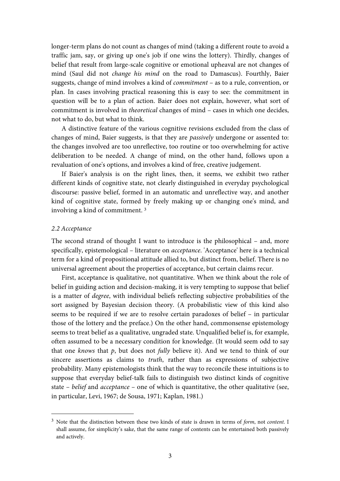longer-term plans do not count as changes of mind (taking a different route to avoid a traffic jam, say, or giving up one's job if one wins the lottery). Thirdly, changes of belief that result from large-scale cognitive or emotional upheaval are not changes of mind (Saul did not change his mind on the road to Damascus). Fourthly, Baier suggests, change of mind involves a kind of commitment – as to a rule, convention, or plan. In cases involving practical reasoning this is easy to see: the commitment in question will be to a plan of action. Baier does not explain, however, what sort of commitment is involved in theoretical changes of mind – cases in which one decides, not what to do, but what to think.

 A distinctive feature of the various cognitive revisions excluded from the class of changes of mind, Baier suggests, is that they are passively undergone or assented to: the changes involved are too unreflective, too routine or too overwhelming for active deliberation to be needed. A change of mind, on the other hand, follows upon a revaluation of one's options, and involves a kind of free, creative judgement.

 If Baier's analysis is on the right lines, then, it seems, we exhibit two rather different kinds of cognitive state, not clearly distinguished in everyday psychological discourse: passive belief, formed in an automatic and unreflective way, and another kind of cognitive state, formed by freely making up or changing one's mind, and involving a kind of commitment. <sup>3</sup>

## 2.2 Acceptance

 $\overline{a}$ 

The second strand of thought I want to introduce is the philosophical – and, more specifically, epistemological – literature on acceptance. 'Acceptance' here is a technical term for a kind of propositional attitude allied to, but distinct from, belief. There is no universal agreement about the properties of acceptance, but certain claims recur.

 First, acceptance is qualitative, not quantitative. When we think about the role of belief in guiding action and decision-making, it is very tempting to suppose that belief is a matter of degree, with individual beliefs reflecting subjective probabilities of the sort assigned by Bayesian decision theory. (A probabilistic view of this kind also seems to be required if we are to resolve certain paradoxes of belief – in particular those of the lottery and the preface.) On the other hand, commonsense epistemology seems to treat belief as a qualitative, ungraded state. Unqualified belief is, for example, often assumed to be a necessary condition for knowledge. (It would seem odd to say that one knows that  $p$ , but does not *fully* believe it). And we tend to think of our sincere assertions as claims to truth, rather than as expressions of subjective probability. Many epistemologists think that the way to reconcile these intuitions is to suppose that everyday belief-talk fails to distinguish two distinct kinds of cognitive state – belief and acceptance – one of which is quantitative, the other qualitative (see, in particular, Levi, 1967; de Sousa, 1971; Kaplan, 1981.)

 $3$  Note that the distinction between these two kinds of state is drawn in terms of form, not content. I shall assume, for simplicity's sake, that the same range of contents can be entertained both passively and actively.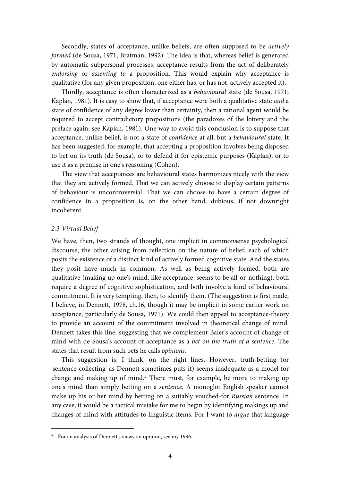Secondly, states of acceptance, unlike beliefs, are often supposed to be actively formed (de Sousa, 1971; Bratman, 1992). The idea is that, whereas belief is generated by automatic subpersonal processes, acceptance results from the act of deliberately endorsing or assenting to a proposition. This would explain why acceptance is qualitative (for any given proposition, one either has, or has not, actively accepted it).

 Thirdly, acceptance is often characterized as a behavioural state (de Sousa, 1971; Kaplan, 1981). It is easy to show that, if acceptance were both a qualitative state and a state of confidence of any degree lower than certainty, then a rational agent would be required to accept contradictory propositions (the paradoxes of the lottery and the preface again; see Kaplan, 1981). One way to avoid this conclusion is to suppose that acceptance, unlike belief, is not a state of confidence at all, but a behavioural state. It has been suggested, for example, that accepting a proposition involves being disposed to bet on its truth (de Sousa), or to defend it for epistemic purposes (Kaplan), or to use it as a premise in one's reasoning (Cohen).

 The view that acceptances are behavioural states harmonizes nicely with the view that they are actively formed. That we can actively choose to display certain patterns of behaviour is uncontroversial. That we can choose to have a certain degree of confidence in a proposition is, on the other hand, dubious, if not downright incoherent.

## 2.3 Virtual Belief

 $\overline{a}$ 

We have, then, two strands of thought, one implicit in commonsense psychological discourse, the other arising from reflection on the nature of belief, each of which posits the existence of a distinct kind of actively formed cognitive state. And the states they posit have much in common. As well as being actively formed, both are qualitative (making up one's mind, like acceptance, seems to be all-or-nothing), both require a degree of cognitive sophistication, and both involve a kind of behavioural commitment. It is very tempting, then, to identify them. (The suggestion is first made, I believe, in Dennett, 1978, ch.16, though it may be implicit in some earlier work on acceptance, particularly de Sousa, 1971). We could then appeal to acceptance-theory to provide an account of the commitment involved in theoretical change of mind. Dennett takes this line, suggesting that we complement Baier's account of change of mind with de Sousa's account of acceptance as a bet on the truth of a sentence. The states that result from such bets he calls opinions.

 This suggestion is, I think, on the right lines. However, truth-betting (or 'sentence-collecting' as Dennett sometimes puts it) seems inadequate as a model for change and making up of mind.<sup>4</sup> There must, for example, be more to making up one's mind than simply betting on a sentence. A monoglot English speaker cannot make up his or her mind by betting on a suitably vouched-for Russian sentence. In any case, it would be a tactical mistake for me to begin by identifying makings up and changes of mind with attitudes to linguistic items. For I want to *argue* that language

<sup>&</sup>lt;sup>4</sup> For an analysis of Dennett's views on opinion, see my 1996.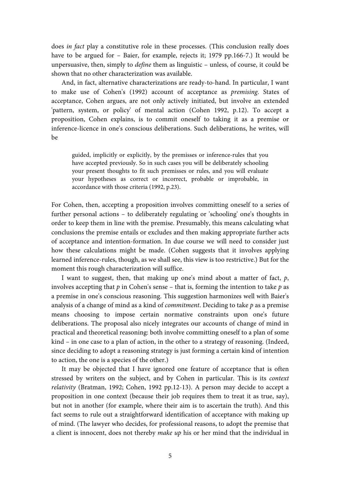does in fact play a constitutive role in these processes. (This conclusion really does have to be argued for – Baier, for example, rejects it; 1979 pp.166-7.) It would be unpersuasive, then, simply to define them as linguistic – unless, of course, it could be shown that no other characterization was available.

 And, in fact, alternative characterizations are ready-to-hand. In particular, I want to make use of Cohen's (1992) account of acceptance as premising. States of acceptance, Cohen argues, are not only actively initiated, but involve an extended 'pattern, system, or policy' of mental action (Cohen 1992, p.12). To accept a proposition, Cohen explains, is to commit oneself to taking it as a premise or inference-licence in one's conscious deliberations. Such deliberations, he writes, will be

guided, implicitly or explicitly, by the premisses or inference-rules that you have accepted previously. So in such cases you will be deliberately schooling your present thoughts to fit such premisses or rules, and you will evaluate your hypotheses as correct or incorrect, probable or improbable, in accordance with those criteria (1992, p.23).

For Cohen, then, accepting a proposition involves committing oneself to a series of further personal actions – to deliberately regulating or 'schooling' one's thoughts in order to keep them in line with the premise. Presumably, this means calculating what conclusions the premise entails or excludes and then making appropriate further acts of acceptance and intention-formation. In due course we will need to consider just how these calculations might be made. (Cohen suggests that it involves applying learned inference-rules, though, as we shall see, this view is too restrictive.) But for the moment this rough characterization will suffice.

I want to suggest, then, that making up one's mind about a matter of fact,  $p$ , involves accepting that  $p$  in Cohen's sense – that is, forming the intention to take  $p$  as a premise in one's conscious reasoning. This suggestion harmonizes well with Baier's analysis of a change of mind as a kind of *commitment*. Deciding to take  $p$  as a premise means choosing to impose certain normative constraints upon one's future deliberations. The proposal also nicely integrates our accounts of change of mind in practical and theoretical reasoning: both involve committing oneself to a plan of some kind – in one case to a plan of action, in the other to a strategy of reasoning. (Indeed, since deciding to adopt a reasoning strategy is just forming a certain kind of intention to action, the one is a species of the other.)

 It may be objected that I have ignored one feature of acceptance that is often stressed by writers on the subject, and by Cohen in particular. This is its context relativity (Bratman, 1992; Cohen, 1992 pp.12-13). A person may decide to accept a proposition in one context (because their job requires them to treat it as true, say), but not in another (for example, where their aim is to ascertain the truth). And this fact seems to rule out a straightforward identification of acceptance with making up of mind. (The lawyer who decides, for professional reasons, to adopt the premise that a client is innocent, does not thereby *make up* his or her mind that the individual in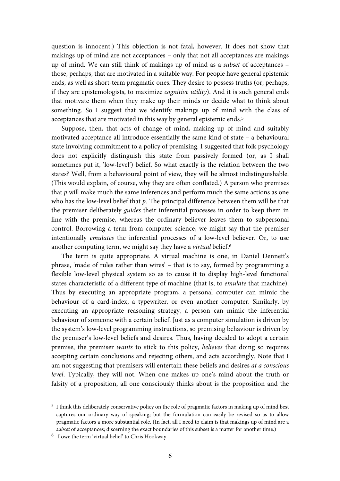question is innocent.) This objection is not fatal, however. It does not show that makings up of mind are not acceptances – only that not all acceptances are makings up of mind. We can still think of makings up of mind as a subset of acceptances – those, perhaps, that are motivated in a suitable way. For people have general epistemic ends, as well as short-term pragmatic ones. They desire to possess truths (or, perhaps, if they are epistemologists, to maximize cognitive utility). And it is such general ends that motivate them when they make up their minds or decide what to think about something. So I suggest that we identify makings up of mind with the class of acceptances that are motivated in this way by general epistemic ends.<sup>5</sup>

 Suppose, then, that acts of change of mind, making up of mind and suitably motivated acceptance all introduce essentially the same kind of state – a behavioural state involving commitment to a policy of premising. I suggested that folk psychology does not explicitly distinguish this state from passively formed (or, as I shall sometimes put it, 'low-level') belief. So what exactly is the relation between the two states? Well, from a behavioural point of view, they will be almost indistinguishable. (This would explain, of course, why they are often conflated.) A person who premises that  $p$  will make much the same inferences and perform much the same actions as one who has the low-level belief that  $p$ . The principal difference between them will be that the premiser deliberately guides their inferential processes in order to keep them in line with the premise, whereas the ordinary believer leaves them to subpersonal control. Borrowing a term from computer science, we might say that the premiser intentionally emulates the inferential processes of a low-level believer. Or, to use another computing term, we might say they have a *virtual* belief.<sup>6</sup>

 The term is quite appropriate. A virtual machine is one, in Daniel Dennett's phrase, 'made of rules rather than wires' – that is to say, formed by programming a flexible low-level physical system so as to cause it to display high-level functional states characteristic of a different type of machine (that is, to emulate that machine). Thus by executing an appropriate program, a personal computer can mimic the behaviour of a card-index, a typewriter, or even another computer. Similarly, by executing an appropriate reasoning strategy, a person can mimic the inferential behaviour of someone with a certain belief. Just as a computer simulation is driven by the system's low-level programming instructions, so premising behaviour is driven by the premiser's low-level beliefs and desires. Thus, having decided to adopt a certain premise, the premiser wants to stick to this policy, believes that doing so requires accepting certain conclusions and rejecting others, and acts accordingly. Note that I am not suggesting that premisers will entertain these beliefs and desires at a conscious level. Typically, they will not. When one makes up one's mind about the truth or falsity of a proposition, all one consciously thinks about is the proposition and the

-

<sup>5</sup> I think this deliberately conservative policy on the role of pragmatic factors in making up of mind best captures our ordinary way of speaking; but the formulation can easily be revised so as to allow pragmatic factors a more substantial role. (In fact, all I need to claim is that makings up of mind are a subset of acceptances; discerning the exact boundaries of this subset is a matter for another time.)

<sup>6</sup> I owe the term 'virtual belief' to Chris Hookway.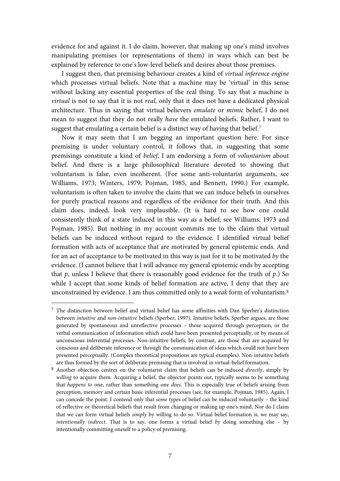evidence for and against it. I do claim, however, that making up one's mind involves manipulating premises (or representations of them) in ways which can best be explained by reference to one's low-level beliefs and desires about those premises.

 I suggest then, that premising behaviour creates a kind of virtual inference engine which processes virtual beliefs. Note that a machine may be 'virtual' in this sense without lacking any essential properties of the real thing. To say that a machine is virtual is not to say that it is not real, only that it does not have a dedicated physical architecture. Thus in saying that virtual believers emulate or mimic belief, I do not mean to suggest that they do not really have the emulated beliefs. Rather, I want to suggest that emulating a certain belief is a distinct way of having that belief.<sup>7</sup>

 Now it may seem that I am begging an important question here. For since premising is under voluntary control, it follows that, in suggesting that some premisings constitute a kind of belief, I am endorsing a form of voluntarism about belief. And there is a large philosophical literature devoted to showing that voluntarism is false, even incoherent. (For some anti-voluntarist arguments, see Williams, 1973; Winters, 1979; Pojman, 1985, and Bennett, 1990.) For example, voluntarism is often taken to involve the claim that we can induce beliefs in ourselves for purely practical reasons and regardless of the evidence for their truth. And this claim does, indeed, look very implausible. (It is hard to see how one could consistently think of a state induced in this way as a belief; see Williams, 1973 and Pojman, 1985). But nothing in my account commits me to the claim that virtual beliefs can be induced without regard to the evidence. I identified virtual belief formation with acts of acceptance that are motivated by general epistemic ends. And for an act of acceptance to be motivated in this way is just for it to be motivated by the evidence. (I cannot believe that I will advance my general epistemic ends by accepting that  $p$ , unless I believe that there is reasonably good evidence for the truth of  $p$ .) So while I accept that some kinds of belief formation are active, I deny that they are unconstrained by evidence. I am thus committed only to a weak form of voluntarism.<sup>8</sup>

 $\overline{a}$ 

<sup>7</sup> The distinction between belief and virtual belief has some affinities with Dan Sperber's distinction between intuitive and non-intuitive beliefs (Sperber, 1997). Intuitive beliefs, Sperber argues, are those generated by spontaneous and unreflective processes – those acquired through perception, or the verbal communication of information which could have been presented perceptually, or by means of unconscious inferential processes. Non-intuitive beliefs, by contrast, are those that are acquired by conscious and deliberate inference or through the communication of ideas which could not have been presented perceptually. (Complex theoretical propositions are typical examples). Non-intuitive beliefs are thus formed by the sort of deliberate premising that is involved in virtual-belief formation.

<sup>&</sup>lt;sup>8</sup> Another objection centres on the voluntarist claim that beliefs can be induced directly, simply by willing to acquire them. Acquiring a belief, the objector points out, typically seems to be something that happens to one, rather than something one does. This is especially true of beliefs arising from perception, memory and certain basic inferential processes (see, for example, Pojman, 1985). Again, I can concede the point. I contend only that some types of belief can be induced voluntarily – the kind of reflective or theoretical beliefs that result from changing or making up one's mind. Nor do I claim that we can form virtual beliefs simply by willing to do so. Virtual belief formation is, we may say, intentionally indirect. That is to say, one forms a virtual belief by doing something else – by intentionally committing oneself to a policy of premising.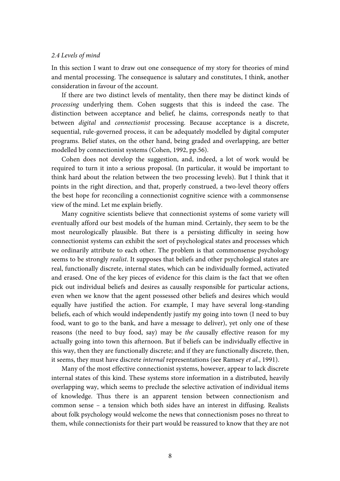### 2.4 Levels of mind

In this section I want to draw out one consequence of my story for theories of mind and mental processing. The consequence is salutary and constitutes, I think, another consideration in favour of the account.

 If there are two distinct levels of mentality, then there may be distinct kinds of processing underlying them. Cohen suggests that this is indeed the case. The distinction between acceptance and belief, he claims, corresponds neatly to that between digital and connectionist processing. Because acceptance is a discrete, sequential, rule-governed process, it can be adequately modelled by digital computer programs. Belief states, on the other hand, being graded and overlapping, are better modelled by connectionist systems (Cohen, 1992, pp.56).

 Cohen does not develop the suggestion, and, indeed, a lot of work would be required to turn it into a serious proposal. (In particular, it would be important to think hard about the relation between the two processing levels). But I think that it points in the right direction, and that, properly construed, a two-level theory offers the best hope for reconciling a connectionist cognitive science with a commonsense view of the mind. Let me explain briefly.

 Many cognitive scientists believe that connectionist systems of some variety will eventually afford our best models of the human mind. Certainly, they seem to be the most neurologically plausible. But there is a persisting difficulty in seeing how connectionist systems can exhibit the sort of psychological states and processes which we ordinarily attribute to each other. The problem is that commonsense psychology seems to be strongly realist. It supposes that beliefs and other psychological states are real, functionally discrete, internal states, which can be individually formed, activated and erased. One of the key pieces of evidence for this claim is the fact that we often pick out individual beliefs and desires as causally responsible for particular actions, even when we know that the agent possessed other beliefs and desires which would equally have justified the action. For example, I may have several long-standing beliefs, each of which would independently justify my going into town (I need to buy food, want to go to the bank, and have a message to deliver), yet only one of these reasons (the need to buy food, say) may be the causally effective reason for my actually going into town this afternoon. But if beliefs can be individually effective in this way, then they are functionally discrete; and if they are functionally discrete, then, it seems, they must have discrete internal representations (see Ramsey et al., 1991).

 Many of the most effective connectionist systems, however, appear to lack discrete internal states of this kind. These systems store information in a distributed, heavily overlapping way, which seems to preclude the selective activation of individual items of knowledge. Thus there is an apparent tension between connectionism and common sense – a tension which both sides have an interest in diffusing. Realists about folk psychology would welcome the news that connectionism poses no threat to them, while connectionists for their part would be reassured to know that they are not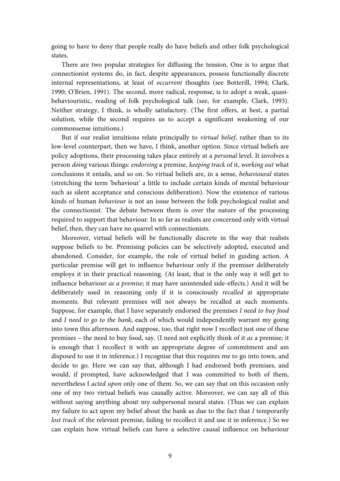going to have to deny that people really do have beliefs and other folk psychological states.

 There are two popular strategies for diffusing the tension. One is to argue that connectionist systems do, in fact, despite appearances, possess functionally discrete internal representations, at least of occurrent thoughts (see Botterill, 1994; Clark, 1990; O'Brien, 1991). The second, more radical, response, is to adopt a weak, quasibehaviouristic, reading of folk psychological talk (see, for example, Clark, 1993). Neither strategy, I think, is wholly satisfactory. (The first offers, at best, a partial solution, while the second requires us to accept a significant weakening of our commonsense intuitions.)

 But if our realist intuitions relate principally to virtual belief, rather than to its low-level counterpart, then we have, I think, another option. Since virtual beliefs are policy adoptions, their processing takes place entirely at a personal level. It involves a person doing various things: endorsing a premise, keeping track of it, working out what conclusions it entails, and so on. So virtual beliefs are, in a sense, behavioural states (stretching the term 'behaviour' a little to include certain kinds of mental behaviour such as silent acceptance and conscious deliberation). Now the existence of various kinds of human behaviour is not an issue between the folk psychological realist and the connectionist. The debate between them is over the nature of the processing required to support that behaviour. In so far as realists are concerned only with virtual belief, then, they can have no quarrel with connectionists.

 Moreover, virtual beliefs will be functionally discrete in the way that realists suppose beliefs to be. Premising policies can be selectively adopted, executed and abandoned. Consider, for example, the role of virtual belief in guiding action. A particular premise will get to influence behaviour only if the premiser deliberately employs it in their practical reasoning. (At least, that is the only way it will get to influence behaviour as a premise; it may have unintended side-effects.) And it will be deliberately used in reasoning only if it is consciously recalled at appropriate moments. But relevant premises will not always be recalled at such moments. Suppose, for example, that I have separately endorsed the premises I need to buy food and I need to go to the bank, each of which would independently warrant my going into town this afternoon. And suppose, too, that right now I recollect just one of these premises – the need to buy food, say. (I need not explicitly think of it as a premise; it is enough that I recollect it with an appropriate degree of commitment and am disposed to use it in inference.) I recognise that this requires me to go into town, and decide to go. Here we can say that, although I had endorsed both premises, and would, if prompted, have acknowledged that I was committed to both of them, nevertheless I acted upon only one of them. So, we can say that on this occasion only one of my two virtual beliefs was causally active. Moreover, we can say all of this without saying anything about my subpersonal neural states. (Thus we can explain my failure to act upon my belief about the bank as due to the fact that I temporarily lost track of the relevant premise, failing to recollect it and use it in inference.) So we can explain how virtual beliefs can have a selective causal influence on behaviour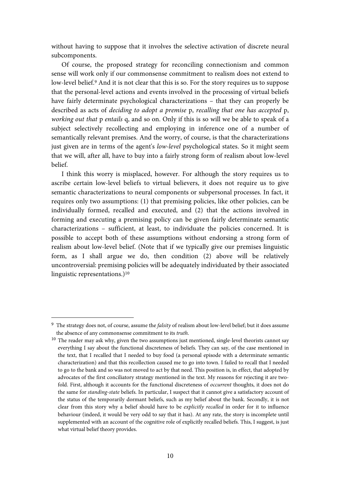without having to suppose that it involves the selective activation of discrete neural subcomponents.

 Of course, the proposed strategy for reconciling connectionism and common sense will work only if our commonsense commitment to realism does not extend to low-level belief.<sup>9</sup> And it is not clear that this is so. For the story requires us to suppose that the personal-level actions and events involved in the processing of virtual beliefs have fairly determinate psychological characterizations – that they can properly be described as acts of deciding to adopt a premise p, recalling that one has accepted p, working out that p entails q, and so on. Only if this is so will we be able to speak of a subject selectively recollecting and employing in inference one of a number of semantically relevant premises. And the worry, of course, is that the characterizations just given are in terms of the agent's low-level psychological states. So it might seem that we will, after all, have to buy into a fairly strong form of realism about low-level belief.

 I think this worry is misplaced, however. For although the story requires us to ascribe certain low-level beliefs to virtual believers, it does not require us to give semantic characterizations to neural components or subpersonal processes. In fact, it requires only two assumptions: (1) that premising policies, like other policies, can be individually formed, recalled and executed, and (2) that the actions involved in forming and executing a premising policy can be given fairly determinate semantic characterizations – sufficient, at least, to individuate the policies concerned. It is possible to accept both of these assumptions without endorsing a strong form of realism about low-level belief. (Note that if we typically give our premises linguistic form, as I shall argue we do, then condition (2) above will be relatively uncontroversial: premising policies will be adequately individuated by their associated linguistic representations.)<sup>10</sup>

-

<sup>&</sup>lt;sup>9</sup> The strategy does not, of course, assume the *falsity* of realism about low-level belief; but it does assume the absence of any commonsense commitment to its truth.

<sup>&</sup>lt;sup>10</sup> The reader may ask why, given the two assumptions just mentioned, single-level theorists cannot say everything I say about the functional discreteness of beliefs. They can say, of the case mentioned in the text, that I recalled that I needed to buy food (a personal episode with a determinate semantic characterization) and that this recollection caused me to go into town. I failed to recall that I needed to go to the bank and so was not moved to act by that need. This position is, in effect, that adopted by advocates of the first conciliatory strategy mentioned in the text. My reasons for rejecting it are twofold. First, although it accounts for the functional discreteness of occurrent thoughts, it does not do the same for standing-state beliefs. In particular, I suspect that it cannot give a satisfactory account of the status of the temporarily dormant beliefs, such as my belief about the bank. Secondly, it is not clear from this story why a belief should have to be explicitly recalled in order for it to influence behaviour (indeed, it would be very odd to say that it has). At any rate, the story is incomplete until supplemented with an account of the cognitive role of explicitly recalled beliefs. This, I suggest, is just what virtual belief theory provides.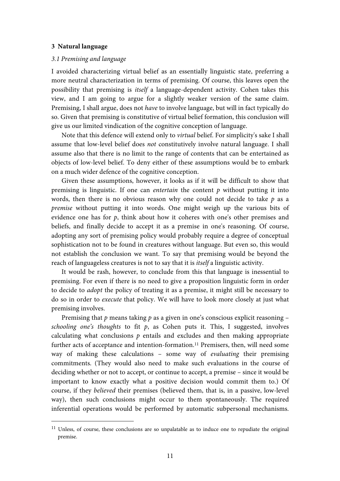#### **3 Natural language**

-

#### 3.1 Premising and language

I avoided characterizing virtual belief as an essentially linguistic state, preferring a more neutral characterization in terms of premising. Of course, this leaves open the possibility that premising is itself a language-dependent activity. Cohen takes this view, and I am going to argue for a slightly weaker version of the same claim. Premising, I shall argue, does not have to involve language, but will in fact typically do so. Given that premising is constitutive of virtual belief formation, this conclusion will give us our limited vindication of the cognitive conception of language.

 Note that this defence will extend only to virtual belief. For simplicity's sake I shall assume that low-level belief does not constitutively involve natural language. I shall assume also that there is no limit to the range of contents that can be entertained as objects of low-level belief. To deny either of these assumptions would be to embark on a much wider defence of the cognitive conception.

 Given these assumptions, however, it looks as if it will be difficult to show that premising is linguistic. If one can *entertain* the content  $p$  without putting it into words, then there is no obvious reason why one could not decide to take  $p$  as a premise without putting it into words. One might weigh up the various bits of evidence one has for p, think about how it coheres with one's other premises and beliefs, and finally decide to accept it as a premise in one's reasoning. Of course, adopting any sort of premising policy would probably require a degree of conceptual sophistication not to be found in creatures without language. But even so, this would not establish the conclusion we want. To say that premising would be beyond the reach of languageless creatures is not to say that it is itself a linguistic activity.

 It would be rash, however, to conclude from this that language is inessential to premising. For even if there is no need to give a proposition linguistic form in order to decide to adopt the policy of treating it as a premise, it might still be necessary to do so in order to execute that policy. We will have to look more closely at just what premising involves.

Premising that  $p$  means taking  $p$  as a given in one's conscious explicit reasoning – schooling one's thoughts to fit  $p$ , as Cohen puts it. This, I suggested, involves calculating what conclusions  $p$  entails and excludes and then making appropriate further acts of acceptance and intention-formation.<sup>11</sup> Premisers, then, will need some way of making these calculations – some way of evaluating their premising commitments. (They would also need to make such evaluations in the course of deciding whether or not to accept, or continue to accept, a premise – since it would be important to know exactly what a positive decision would commit them to.) Of course, if they believed their premises (believed them, that is, in a passive, low-level way), then such conclusions might occur to them spontaneously. The required inferential operations would be performed by automatic subpersonal mechanisms.

<sup>&</sup>lt;sup>11</sup> Unless, of course, these conclusions are so unpalatable as to induce one to repudiate the original premise.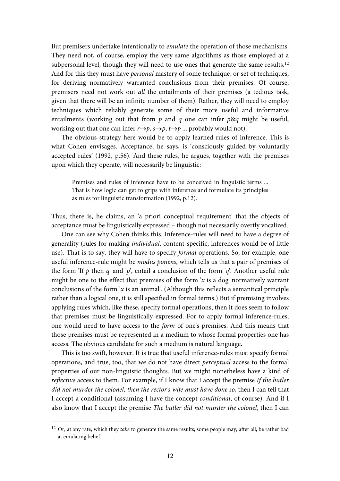But premisers undertake intentionally to emulate the operation of those mechanisms. They need not, of course, employ the very same algorithms as those employed at a subpersonal level, though they will need to use ones that generate the same results.<sup>12</sup> And for this they must have personal mastery of some technique, or set of techniques, for deriving normatively warranted conclusions from their premises. Of course, premisers need not work out all the entailments of their premises (a tedious task, given that there will be an infinite number of them). Rather, they will need to employ techniques which reliably generate some of their more useful and informative entailments (working out that from  $p$  and  $q$  one can infer  $p \& q$  might be useful; working out that one can infer  $r \rightarrow p$ ,  $s \rightarrow p$ ,  $t \rightarrow p$  ... probably would not).

 The obvious strategy here would be to apply learned rules of inference. This is what Cohen envisages. Acceptance, he says, is 'consciously guided by voluntarily accepted rules' (1992, p.56). And these rules, he argues, together with the premises upon which they operate, will necessarily be linguistic:

Premises and rules of inference have to be conceived in linguistic terms ... That is how logic can get to grips with inference and formulate its principles as rules for linguistic transformation (1992, p.12).

Thus, there is, he claims, an 'a priori conceptual requirement' that the objects of acceptance must be linguistically expressed – though not necessarily overtly vocalized.

 One can see why Cohen thinks this. Inference-rules will need to have a degree of generality (rules for making individual, content-specific, inferences would be of little use). That is to say, they will have to specify formal operations. So, for example, one useful inference-rule might be modus ponens, which tells us that a pair of premises of the form 'If p then q' and 'p', entail a conclusion of the form 'q'. Another useful rule might be one to the effect that premises of the form  $x$  is a dog normatively warrant conclusions of the form  $x$  is an animal'. (Although this reflects a semantical principle rather than a logical one, it is still specified in formal terms.) But if premising involves applying rules which, like these, specify formal operations, then it does seem to follow that premises must be linguistically expressed. For to apply formal inference-rules, one would need to have access to the form of one's premises. And this means that those premises must be represented in a medium to whose formal properties one has access. The obvious candidate for such a medium is natural language.

 This is too swift, however. It is true that useful inference-rules must specify formal operations, and true, too, that we do not have direct perceptual access to the formal properties of our non-linguistic thoughts. But we might nonetheless have a kind of reflective access to them. For example, if I know that I accept the premise If the butler did not murder the colonel, then the rector's wife must have done so, then I can tell that I accept a conditional (assuming I have the concept conditional, of course). And if I also know that I accept the premise The butler did not murder the colonel, then I can

-

<sup>&</sup>lt;sup>12</sup> Or, at any rate, which they *take* to generate the same results; some people may, after all, be rather bad at emulating belief.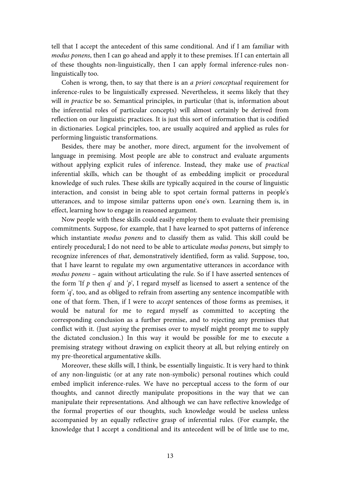tell that I accept the antecedent of this same conditional. And if I am familiar with modus ponens, then I can go ahead and apply it to these premises. If I can entertain all of these thoughts non-linguistically, then I can apply formal inference-rules nonlinguistically too.

Cohen is wrong, then, to say that there is an *a priori conceptual* requirement for inference-rules to be linguistically expressed. Nevertheless, it seems likely that they will *in practice* be so. Semantical principles, in particular (that is, information about the inferential roles of particular concepts) will almost certainly be derived from reflection on our linguistic practices. It is just this sort of information that is codified in dictionaries. Logical principles, too, are usually acquired and applied as rules for performing linguistic transformations.

 Besides, there may be another, more direct, argument for the involvement of language in premising. Most people are able to construct and evaluate arguments without applying explicit rules of inference. Instead, they make use of *practical* inferential skills, which can be thought of as embedding implicit or procedural knowledge of such rules. These skills are typically acquired in the course of linguistic interaction, and consist in being able to spot certain formal patterns in people's utterances, and to impose similar patterns upon one's own. Learning them is, in effect, learning how to engage in reasoned argument.

 Now people with these skills could easily employ them to evaluate their premising commitments. Suppose, for example, that I have learned to spot patterns of inference which instantiate *modus ponens* and to classify them as valid. This skill could be entirely procedural; I do not need to be able to articulate modus ponens, but simply to recognize inferences of that, demonstratively identified, form as valid. Suppose, too, that I have learnt to regulate my own argumentative utterances in accordance with modus ponens – again without articulating the rule. So if I have asserted sentences of the form 'If  $p$  then  $q'$  and 'p', I regard myself as licensed to assert a sentence of the form 'q', too, and as obliged to refrain from asserting any sentence incompatible with one of that form. Then, if I were to accept sentences of those forms as premises, it would be natural for me to regard myself as committed to accepting the corresponding conclusion as a further premise, and to rejecting any premises that conflict with it. (Just saying the premises over to myself might prompt me to supply the dictated conclusion.) In this way it would be possible for me to execute a premising strategy without drawing on explicit theory at all, but relying entirely on my pre-theoretical argumentative skills.

 Moreover, these skills will, I think, be essentially linguistic. It is very hard to think of any non-linguistic (or at any rate non-symbolic) personal routines which could embed implicit inference-rules. We have no perceptual access to the form of our thoughts, and cannot directly manipulate propositions in the way that we can manipulate their representations. And although we can have reflective knowledge of the formal properties of our thoughts, such knowledge would be useless unless accompanied by an equally reflective grasp of inferential rules. (For example, the knowledge that I accept a conditional and its antecedent will be of little use to me,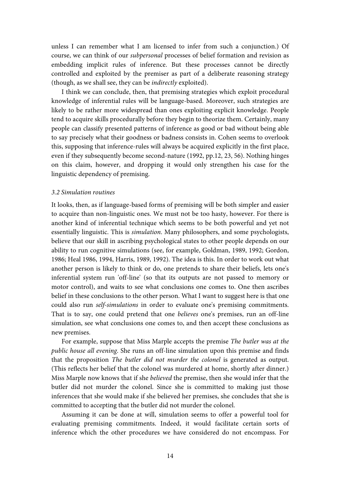unless I can remember what I am licensed to infer from such a conjunction.) Of course, we can think of our subpersonal processes of belief formation and revision as embedding implicit rules of inference. But these processes cannot be directly controlled and exploited by the premiser as part of a deliberate reasoning strategy (though, as we shall see, they can be indirectly exploited).

 I think we can conclude, then, that premising strategies which exploit procedural knowledge of inferential rules will be language-based. Moreover, such strategies are likely to be rather more widespread than ones exploiting explicit knowledge. People tend to acquire skills procedurally before they begin to theorize them. Certainly, many people can classify presented patterns of inference as good or bad without being able to say precisely what their goodness or badness consists in. Cohen seems to overlook this, supposing that inference-rules will always be acquired explicitly in the first place, even if they subsequently become second-nature (1992, pp.12, 23, 56). Nothing hinges on this claim, however, and dropping it would only strengthen his case for the linguistic dependency of premising.

# 3.2 Simulation routines

It looks, then, as if language-based forms of premising will be both simpler and easier to acquire than non-linguistic ones. We must not be too hasty, however. For there is another kind of inferential technique which seems to be both powerful and yet not essentially linguistic. This is simulation. Many philosophers, and some psychologists, believe that our skill in ascribing psychological states to other people depends on our ability to run cognitive simulations (see, for example, Goldman, 1989, 1992; Gordon, 1986; Heal 1986, 1994, Harris, 1989, 1992). The idea is this. In order to work out what another person is likely to think or do, one pretends to share their beliefs, lets one's inferential system run 'off-line' (so that its outputs are not passed to memory or motor control), and waits to see what conclusions one comes to. One then ascribes belief in these conclusions to the other person. What I want to suggest here is that one could also run self-simulations in order to evaluate one's premising commitments. That is to say, one could pretend that one believes one's premises, run an off-line simulation, see what conclusions one comes to, and then accept these conclusions as new premises.

 For example, suppose that Miss Marple accepts the premise The butler was at the public house all evening. She runs an off-line simulation upon this premise and finds that the proposition The butler did not murder the colonel is generated as output. (This reflects her belief that the colonel was murdered at home, shortly after dinner.) Miss Marple now knows that if she believed the premise, then she would infer that the butler did not murder the colonel. Since she is committed to making just those inferences that she would make if she believed her premises, she concludes that she is committed to accepting that the butler did not murder the colonel.

 Assuming it can be done at will, simulation seems to offer a powerful tool for evaluating premising commitments. Indeed, it would facilitate certain sorts of inference which the other procedures we have considered do not encompass. For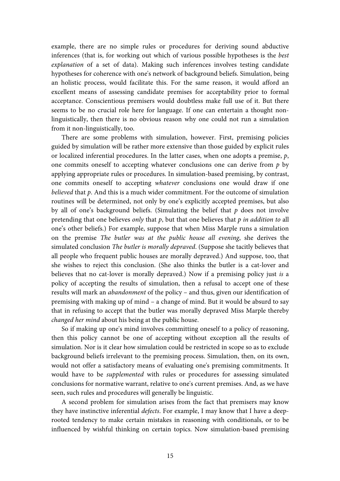example, there are no simple rules or procedures for deriving sound abductive inferences (that is, for working out which of various possible hypotheses is the best explanation of a set of data). Making such inferences involves testing candidate hypotheses for coherence with one's network of background beliefs. Simulation, being an holistic process, would facilitate this. For the same reason, it would afford an excellent means of assessing candidate premises for acceptability prior to formal acceptance. Conscientious premisers would doubtless make full use of it. But there seems to be no crucial role here for language. If one can entertain a thought nonlinguistically, then there is no obvious reason why one could not run a simulation from it non-linguistically, too.

 There are some problems with simulation, however. First, premising policies guided by simulation will be rather more extensive than those guided by explicit rules or localized inferential procedures. In the latter cases, when one adopts a premise,  $p$ , one commits oneself to accepting whatever conclusions one can derive from  $p$  by applying appropriate rules or procedures. In simulation-based premising, by contrast, one commits oneself to accepting whatever conclusions one would draw if one believed that p. And this is a much wider commitment. For the outcome of simulation routines will be determined, not only by one's explicitly accepted premises, but also by all of one's background beliefs. (Simulating the belief that  $p$  does not involve pretending that one believes only that  $p$ , but that one believes that  $p$  in addition to all one's other beliefs.) For example, suppose that when Miss Marple runs a simulation on the premise The butler was at the public house all evening, she derives the simulated conclusion The butler is morally depraved. (Suppose she tacitly believes that all people who frequent public houses are morally depraved.) And suppose, too, that she wishes to reject this conclusion. (She also thinks the butler is a cat-lover and believes that no cat-lover is morally depraved.) Now if a premising policy just is a policy of accepting the results of simulation, then a refusal to accept one of these results will mark an abandonment of the policy – and thus, given our identification of premising with making up of mind – a change of mind. But it would be absurd to say that in refusing to accept that the butler was morally depraved Miss Marple thereby changed her mind about his being at the public house.

 So if making up one's mind involves committing oneself to a policy of reasoning, then this policy cannot be one of accepting without exception all the results of simulation. Nor is it clear how simulation could be restricted in scope so as to exclude background beliefs irrelevant to the premising process. Simulation, then, on its own, would not offer a satisfactory means of evaluating one's premising commitments. It would have to be supplemented with rules or procedures for assessing simulated conclusions for normative warrant, relative to one's current premises. And, as we have seen, such rules and procedures will generally be linguistic.

 A second problem for simulation arises from the fact that premisers may know they have instinctive inferential *defects*. For example, I may know that I have a deeprooted tendency to make certain mistakes in reasoning with conditionals, or to be influenced by wishful thinking on certain topics. Now simulation-based premising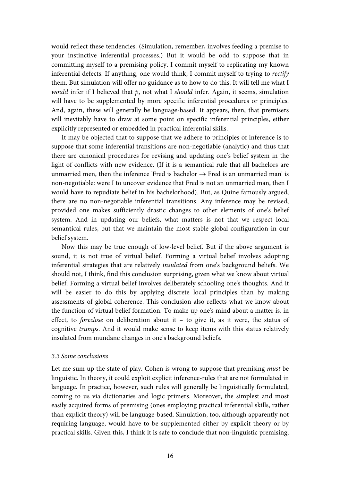would reflect these tendencies. (Simulation, remember, involves feeding a premise to your instinctive inferential processes.) But it would be odd to suppose that in committing myself to a premising policy, I commit myself to replicating my known inferential defects. If anything, one would think, I commit myself to trying to rectify them. But simulation will offer no guidance as to how to do this. It will tell me what I would infer if I believed that  $p$ , not what I should infer. Again, it seems, simulation will have to be supplemented by more specific inferential procedures or principles. And, again, these will generally be language-based. It appears, then, that premisers will inevitably have to draw at some point on specific inferential principles, either explicitly represented or embedded in practical inferential skills.

 It may be objected that to suppose that we adhere to principles of inference is to suppose that some inferential transitions are non-negotiable (analytic) and thus that there are canonical procedures for revising and updating one's belief system in the light of conflicts with new evidence. (If it is a semantical rule that all bachelors are unmarried men, then the inference 'Fred is bachelor  $\rightarrow$  Fred is an unmarried man' is non-negotiable: were I to uncover evidence that Fred is not an unmarried man, then I would have to repudiate belief in his bachelorhood). But, as Quine famously argued, there are no non-negotiable inferential transitions. Any inference may be revised, provided one makes sufficiently drastic changes to other elements of one's belief system. And in updating our beliefs, what matters is not that we respect local semantical rules, but that we maintain the most stable global configuration in our belief system.

 Now this may be true enough of low-level belief. But if the above argument is sound, it is not true of virtual belief. Forming a virtual belief involves adopting inferential strategies that are relatively insulated from one's background beliefs. We should not, I think, find this conclusion surprising, given what we know about virtual belief. Forming a virtual belief involves deliberately schooling one's thoughts. And it will be easier to do this by applying discrete local principles than by making assessments of global coherence. This conclusion also reflects what we know about the function of virtual belief formation. To make up one's mind about a matter is, in effect, to *foreclose* on deliberation about it  $-$  to give it, as it were, the status of cognitive trumps. And it would make sense to keep items with this status relatively insulated from mundane changes in one's background beliefs.

## 3.3 Some conclusions

Let me sum up the state of play. Cohen is wrong to suppose that premising *must* be linguistic. In theory, it could exploit explicit inference-rules that are not formulated in language. In practice, however, such rules will generally be linguistically formulated, coming to us via dictionaries and logic primers. Moreover, the simplest and most easily acquired forms of premising (ones employing practical inferential skills, rather than explicit theory) will be language-based. Simulation, too, although apparently not requiring language, would have to be supplemented either by explicit theory or by practical skills. Given this, I think it is safe to conclude that non-linguistic premising,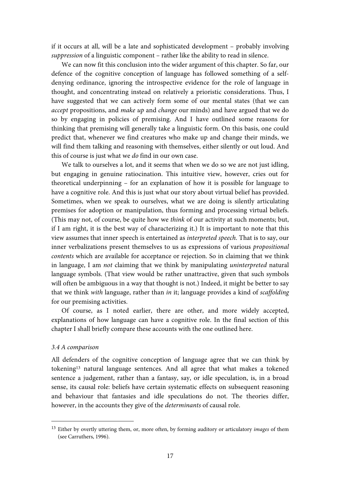if it occurs at all, will be a late and sophisticated development – probably involving suppression of a linguistic component – rather like the ability to read in silence.

 We can now fit this conclusion into the wider argument of this chapter. So far, our defence of the cognitive conception of language has followed something of a selfdenying ordinance, ignoring the introspective evidence for the role of language in thought, and concentrating instead on relatively a prioristic considerations. Thus, I have suggested that we can actively form some of our mental states (that we can accept propositions, and make up and change our minds) and have argued that we do so by engaging in policies of premising. And I have outlined some reasons for thinking that premising will generally take a linguistic form. On this basis, one could predict that, whenever we find creatures who make up and change their minds, we will find them talking and reasoning with themselves, either silently or out loud. And this of course is just what we do find in our own case.

 We talk to ourselves a lot, and it seems that when we do so we are not just idling, but engaging in genuine ratiocination. This intuitive view, however, cries out for theoretical underpinning – for an explanation of how it is possible for language to have a cognitive role. And this is just what our story about virtual belief has provided. Sometimes, when we speak to ourselves, what we are doing is silently articulating premises for adoption or manipulation, thus forming and processing virtual beliefs. (This may not, of course, be quite how we think of our activity at such moments; but, if I am right, it is the best way of characterizing it.) It is important to note that this view assumes that inner speech is entertained as interpreted speech. That is to say, our inner verbalizations present themselves to us as expressions of various propositional contents which are available for acceptance or rejection. So in claiming that we think in language, I am not claiming that we think by manipulating uninterpreted natural language symbols. (That view would be rather unattractive, given that such symbols will often be ambiguous in a way that thought is not.) Indeed, it might be better to say that we think with language, rather than in it; language provides a kind of scaffolding for our premising activities.

 Of course, as I noted earlier, there are other, and more widely accepted, explanations of how language can have a cognitive role. In the final section of this chapter I shall briefly compare these accounts with the one outlined here.

## 3.4 A comparison

-

All defenders of the cognitive conception of language agree that we can think by tokening<sup>13</sup> natural language sentences. And all agree that what makes a tokened sentence a judgement, rather than a fantasy, say, or idle speculation, is, in a broad sense, its causal role: beliefs have certain systematic effects on subsequent reasoning and behaviour that fantasies and idle speculations do not. The theories differ, however, in the accounts they give of the determinants of causal role.

<sup>&</sup>lt;sup>13</sup> Either by overtly uttering them, or, more often, by forming auditory or articulatory *images* of them (see Carruthers, 1996).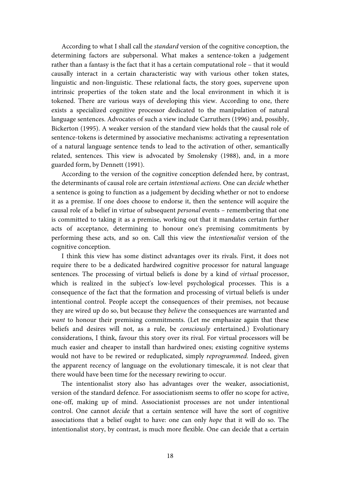According to what I shall call the standard version of the cognitive conception, the determining factors are subpersonal. What makes a sentence-token a judgement rather than a fantasy is the fact that it has a certain computational role – that it would causally interact in a certain characteristic way with various other token states, linguistic and non-linguistic. These relational facts, the story goes, supervene upon intrinsic properties of the token state and the local environment in which it is tokened. There are various ways of developing this view. According to one, there exists a specialized cognitive processor dedicated to the manipulation of natural language sentences. Advocates of such a view include Carruthers (1996) and, possibly, Bickerton (1995). A weaker version of the standard view holds that the causal role of sentence-tokens is determined by associative mechanisms: activating a representation of a natural language sentence tends to lead to the activation of other, semantically related, sentences. This view is advocated by Smolensky (1988), and, in a more guarded form, by Dennett (1991).

 According to the version of the cognitive conception defended here, by contrast, the determinants of causal role are certain intentional actions. One can decide whether a sentence is going to function as a judgement by deciding whether or not to endorse it as a premise. If one does choose to endorse it, then the sentence will acquire the causal role of a belief in virtue of subsequent personal events – remembering that one is committed to taking it as a premise, working out that it mandates certain further acts of acceptance, determining to honour one's premising commitments by performing these acts, and so on. Call this view the intentionalist version of the cognitive conception.

 I think this view has some distinct advantages over its rivals. First, it does not require there to be a dedicated hardwired cognitive processor for natural language sentences. The processing of virtual beliefs is done by a kind of virtual processor, which is realized in the subject's low-level psychological processes. This is a consequence of the fact that the formation and processing of virtual beliefs is under intentional control. People accept the consequences of their premises, not because they are wired up do so, but because they believe the consequences are warranted and want to honour their premising commitments. (Let me emphasize again that these beliefs and desires will not, as a rule, be consciously entertained.) Evolutionary considerations, I think, favour this story over its rival. For virtual processors will be much easier and cheaper to install than hardwired ones; existing cognitive systems would not have to be rewired or reduplicated, simply reprogrammed. Indeed, given the apparent recency of language on the evolutionary timescale, it is not clear that there would have been time for the necessary rewiring to occur.

 The intentionalist story also has advantages over the weaker, associationist, version of the standard defence. For associationism seems to offer no scope for active, one-off, making up of mind. Associationist processes are not under intentional control. One cannot decide that a certain sentence will have the sort of cognitive associations that a belief ought to have: one can only hope that it will do so. The intentionalist story, by contrast, is much more flexible. One can decide that a certain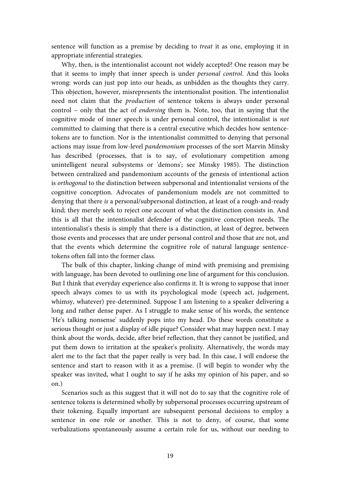sentence will function as a premise by deciding to treat it as one, employing it in appropriate inferential strategies.

 Why, then, is the intentionalist account not widely accepted? One reason may be that it seems to imply that inner speech is under personal control. And this looks wrong: words can just pop into our heads, as unbidden as the thoughts they carry. This objection, however, misrepresents the intentionalist position. The intentionalist need not claim that the production of sentence tokens is always under personal control – only that the act of endorsing them is. Note, too, that in saying that the cognitive mode of inner speech is under personal control, the intentionalist is not committed to claiming that there is a central executive which decides how sentencetokens are to function. Nor is the intentionalist committed to denying that personal actions may issue from low-level pandemonium processes of the sort Marvin Minsky has described (processes, that is to say, of evolutionary competition among unintelligent neural subsystems or 'demons'; see Minsky 1985). The distinction between centralized and pandemonium accounts of the genesis of intentional action is orthogonal to the distinction between subpersonal and intentionalist versions of the cognitive conception. Advocates of pandemonium models are not committed to denying that there is a personal/subpersonal distinction, at least of a rough-and-ready kind; they merely seek to reject one account of what the distinction consists in. And this is all that the intentionalist defender of the cognitive conception needs. The intentionalist's thesis is simply that there is a distinction, at least of degree, between those events and processes that are under personal control and those that are not, and that the events which determine the cognitive role of natural language sentencetokens often fall into the former class.

 The bulk of this chapter, linking change of mind with premising and premising with language, has been devoted to outlining one line of argument for this conclusion. But I think that everyday experience also confirms it. It is wrong to suppose that inner speech always comes to us with its psychological mode (speech act, judgement, whimsy, whatever) pre-determined. Suppose I am listening to a speaker delivering a long and rather dense paper. As I struggle to make sense of his words, the sentence 'He's talking nonsense' suddenly pops into my head. Do these words constitute a serious thought or just a display of idle pique? Consider what may happen next. I may think about the words, decide, after brief reflection, that they cannot be justified, and put them down to irritation at the speaker's prolixity. Alternatively, the words may alert me to the fact that the paper really is very bad. In this case, I will endorse the sentence and start to reason with it as a premise. (I will begin to wonder why the speaker was invited, what I ought to say if he asks my opinion of his paper, and so on.)

 Scenarios such as this suggest that it will not do to say that the cognitive role of sentence tokens is determined wholly by subpersonal processes occurring upstream of their tokening. Equally important are subsequent personal decisions to employ a sentence in one role or another. This is not to deny, of course, that some verbalizations spontaneously assume a certain role for us, without our needing to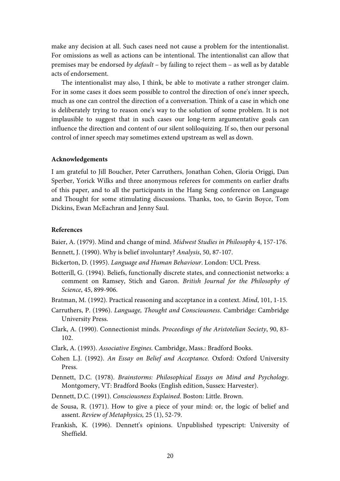make any decision at all. Such cases need not cause a problem for the intentionalist. For omissions as well as actions can be intentional. The intentionalist can allow that premises may be endorsed by default – by failing to reject them – as well as by datable acts of endorsement.

 The intentionalist may also, I think, be able to motivate a rather stronger claim. For in some cases it does seem possible to control the direction of one's inner speech, much as one can control the direction of a conversation. Think of a case in which one is deliberately trying to reason one's way to the solution of some problem. It is not implausible to suggest that in such cases our long-term argumentative goals can influence the direction and content of our silent soliloquizing. If so, then our personal control of inner speech may sometimes extend upstream as well as down.

# **Acknowledgements**

I am grateful to Jill Boucher, Peter Carruthers, Jonathan Cohen, Gloria Origgi, Dan Sperber, Yorick Wilks and three anonymous referees for comments on earlier drafts of this paper, and to all the participants in the Hang Seng conference on Language and Thought for some stimulating discussions. Thanks, too, to Gavin Boyce, Tom Dickins, Ewan McEachran and Jenny Saul.

# **References**

Baier, A. (1979). Mind and change of mind. Midwest Studies in Philosophy 4, 157-176.

- Bennett, J. (1990). Why is belief involuntary? Analysis, 50, 87-107.
- Bickerton, D. (1995). Language and Human Behaviour. London: UCL Press.
- Botterill, G. (1994). Beliefs, functionally discrete states, and connectionist networks: a comment on Ramsey, Stich and Garon. British Journal for the Philosophy of Science, 45, 899-906.
- Bratman, M. (1992). Practical reasoning and acceptance in a context. Mind, 101, 1-15.
- Carruthers, P. (1996). Language, Thought and Consciousness. Cambridge: Cambridge University Press.
- Clark, A. (1990). Connectionist minds. Proceedings of the Aristotelian Society, 90, 83- 102.
- Clark, A. (1993). Associative Engines. Cambridge, Mass.: Bradford Books.
- Cohen L.J. (1992). An Essay on Belief and Acceptance. Oxford: Oxford University Press.
- Dennett, D.C. (1978). Brainstorms: Philosophical Essays on Mind and Psychology. Montgomery, VT: Bradford Books (English edition, Sussex: Harvester).
- Dennett, D.C. (1991). Consciousness Explained. Boston: Little. Brown.
- de Sousa, R. (1971). How to give a piece of your mind: or, the logic of belief and assent. Review of Metaphysics, 25 (1), 52-79.
- Frankish, K. (1996). Dennett's opinions. Unpublished typescript: University of Sheffield.